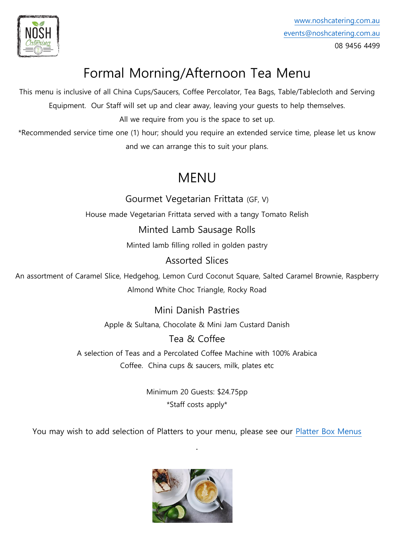

# Formal Morning/Afternoon Tea Menu

This menu is inclusive of all China Cups/Saucers, Coffee Percolator, Tea Bags, Table/Tablecloth and Serving Equipment. Our Staff will set up and clear away, leaving your guests to help themselves.

All we require from you is the space to set up.

\*Recommended service time one (1) hour; should you require an extended service time, please let us know and we can arrange this to suit your plans.

## MENU

Gourmet Vegetarian Frittata (GF, V)

House made Vegetarian Frittata served with a tangy Tomato Relish

Minted Lamb Sausage Rolls

Minted lamb filling rolled in golden pastry

Assorted Slices

An assortment of Caramel Slice, Hedgehog, Lemon Curd Coconut Square, Salted Caramel Brownie, Raspberry Almond White Choc Triangle, Rocky Road

> Mini Danish Pastries Apple & Sultana, Chocolate & Mini Jam Custard Danish

#### Tea & Coffee

A selection of Teas and a Percolated Coffee Machine with 100% Arabica Coffee. China cups & saucers, milk, plates etc

> Minimum 20 Guests: \$24.75pp \*Staff costs apply\*

You may wish to add selection of Platters to your menu, please see our [Platter Box Menus](https://www.noshcatering.com.au/platters/)

.

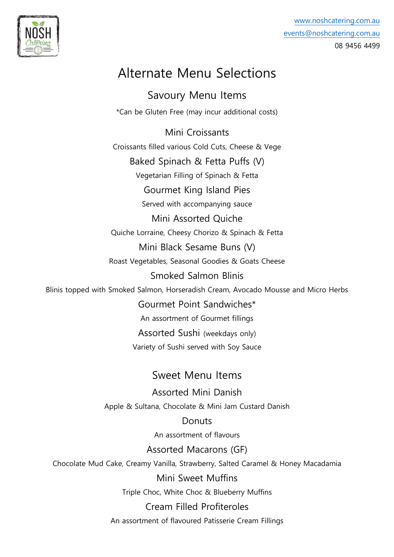

### Alternate Menu Selections

Savoury Menu Items \*Can be Gluten Free (may incur additional costs)

Mini Croissants Croissants filled various Cold Cuts, Cheese & Vege Baked Spinach & Fetta Puffs (V) Vegetarian Filling of Spinach & Fetta Gourmet King Island Pies Served with accompanying sauce Mini Assorted Quiche Quiche Lorraine, Cheesy Chorizo & Spinach & Fetta Mini Black Sesame Buns (V) Roast Vegetables, Seasonal Goodies & Goats Cheese Smoked Salmon Blinis Blinis topped with Smoked Salmon, Horseradish Cream, Avocado Mousse and Micro Herbs Gourmet Point Sandwiches\* An assortment of Gourmet fillings Assorted Sushi (weekdays only) Variety of Sushi served with Soy Sauce Sweet Menu Items

> Assorted Mini Danish Apple & Sultana, Chocolate & Mini Jam Custard Danish

> > **Donuts**

An assortment of flavours

Assorted Macarons (GF)

Chocolate Mud Cake, Creamy Vanilla, Strawberry, Salted Caramel & Honey Macadamia

Mini Sweet Muffins

Triple Choc, White Choc & Blueberry Muffins

Cream Filled Profiteroles

An assortment of flavoured Patisserie Cream Fillings